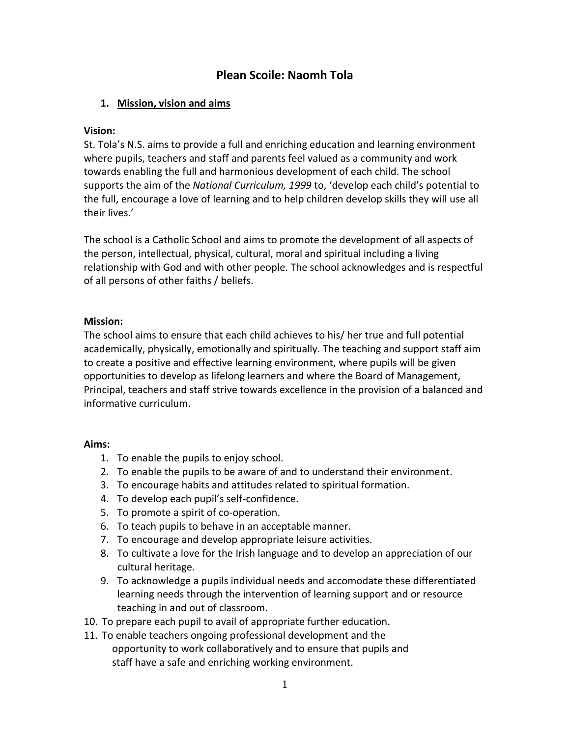# **Plean Scoile: Naomh Tola**

## **1. Mission, vision and aims**

#### **Vision:**

St. Tola's N.S. aims to provide a full and enriching education and learning environment where pupils, teachers and staff and parents feel valued as a community and work towards enabling the full and harmonious development of each child. The school supports the aim of the *National Curriculum, 1999* to, 'develop each child's potential to the full, encourage a love of learning and to help children develop skills they will use all their lives.'

The school is a Catholic School and aims to promote the development of all aspects of the person, intellectual, physical, cultural, moral and spiritual including a living relationship with God and with other people. The school acknowledges and is respectful of all persons of other faiths / beliefs.

## **Mission:**

The school aims to ensure that each child achieves to his/ her true and full potential academically, physically, emotionally and spiritually. The teaching and support staff aim to create a positive and effective learning environment, where pupils will be given opportunities to develop as lifelong learners and where the Board of Management, Principal, teachers and staff strive towards excellence in the provision of a balanced and informative curriculum.

## **Aims:**

- 1. To enable the pupils to enjoy school.
- 2. To enable the pupils to be aware of and to understand their environment.
- 3. To encourage habits and attitudes related to spiritual formation.
- 4. To develop each pupil's self-confidence.
- 5. To promote a spirit of co-operation.
- 6. To teach pupils to behave in an acceptable manner.
- 7. To encourage and develop appropriate leisure activities.
- 8. To cultivate a love for the Irish language and to develop an appreciation of our cultural heritage.
- 9. To acknowledge a pupils individual needs and accomodate these differentiated learning needs through the intervention of learning support and or resource teaching in and out of classroom.
- 10. To prepare each pupil to avail of appropriate further education.
- 11. To enable teachers ongoing professional development and the opportunity to work collaboratively and to ensure that pupils and staff have a safe and enriching working environment.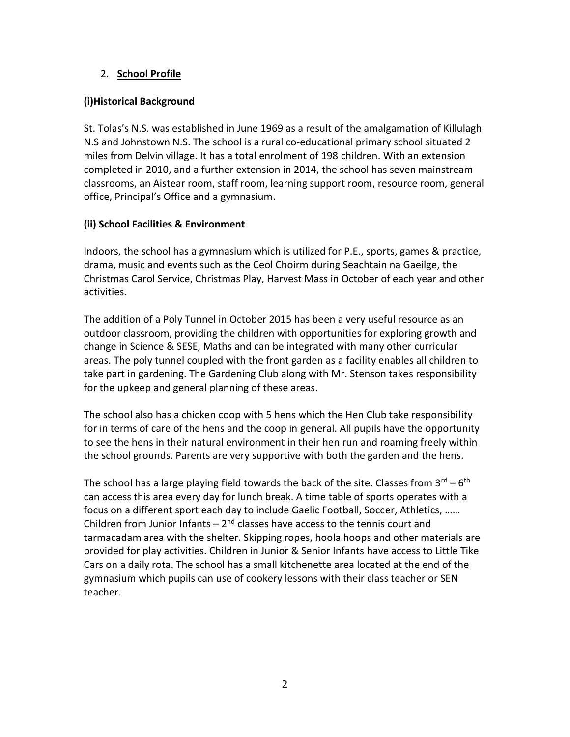## 2. **School Profile**

# **(i)Historical Background**

St. Tolas's N.S. was established in June 1969 as a result of the amalgamation of Killulagh N.S and Johnstown N.S. The school is a rural co-educational primary school situated 2 miles from Delvin village. It has a total enrolment of 198 children. With an extension completed in 2010, and a further extension in 2014, the school has seven mainstream classrooms, an Aistear room, staff room, learning support room, resource room, general office, Principal's Office and a gymnasium.

# **(ii) School Facilities & Environment**

Indoors, the school has a gymnasium which is utilized for P.E., sports, games & practice, drama, music and events such as the Ceol Choirm during Seachtain na Gaeilge, the Christmas Carol Service, Christmas Play, Harvest Mass in October of each year and other activities.

The addition of a Poly Tunnel in October 2015 has been a very useful resource as an outdoor classroom, providing the children with opportunities for exploring growth and change in Science & SESE, Maths and can be integrated with many other curricular areas. The poly tunnel coupled with the front garden as a facility enables all children to take part in gardening. The Gardening Club along with Mr. Stenson takes responsibility for the upkeep and general planning of these areas.

The school also has a chicken coop with 5 hens which the Hen Club take responsibility for in terms of care of the hens and the coop in general. All pupils have the opportunity to see the hens in their natural environment in their hen run and roaming freely within the school grounds. Parents are very supportive with both the garden and the hens.

The school has a large playing field towards the back of the site. Classes from  $3^{\text{rd}} - 6^{\text{th}}$ can access this area every day for lunch break. A time table of sports operates with a focus on a different sport each day to include Gaelic Football, Soccer, Athletics, …… Children from Junior Infants  $-2<sup>nd</sup>$  classes have access to the tennis court and tarmacadam area with the shelter. Skipping ropes, hoola hoops and other materials are provided for play activities. Children in Junior & Senior Infants have access to Little Tike Cars on a daily rota. The school has a small kitchenette area located at the end of the gymnasium which pupils can use of cookery lessons with their class teacher or SEN teacher.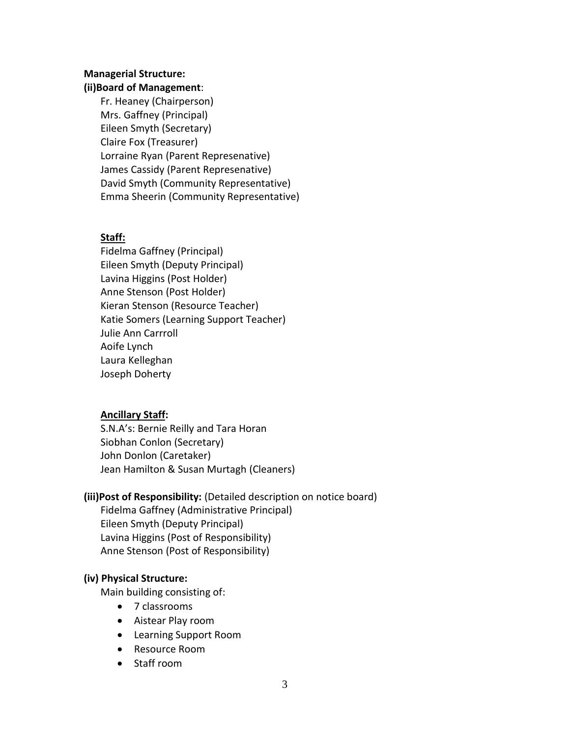#### **Managerial Structure:**

#### **(ii)Board of Management**:

Fr. Heaney (Chairperson) Mrs. Gaffney (Principal) Eileen Smyth (Secretary) Claire Fox (Treasurer) Lorraine Ryan (Parent Represenative) James Cassidy (Parent Represenative) David Smyth (Community Representative) Emma Sheerin (Community Representative)

# **Staff:**

Fidelma Gaffney (Principal) Eileen Smyth (Deputy Principal) Lavina Higgins (Post Holder) Anne Stenson (Post Holder) Kieran Stenson (Resource Teacher) Katie Somers (Learning Support Teacher) Julie Ann Carrroll Aoife Lynch Laura Kelleghan Joseph Doherty

## **Ancillary Staff:**

S.N.A's: Bernie Reilly and Tara Horan Siobhan Conlon (Secretary) John Donlon (Caretaker) Jean Hamilton & Susan Murtagh (Cleaners)

## **(iii)Post of Responsibility:** (Detailed description on notice board)

Fidelma Gaffney (Administrative Principal) Eileen Smyth (Deputy Principal) Lavina Higgins (Post of Responsibility) Anne Stenson (Post of Responsibility)

## **(iv) Physical Structure:**

Main building consisting of:

- 7 classrooms
- Aistear Play room
- Learning Support Room
- Resource Room
- Staff room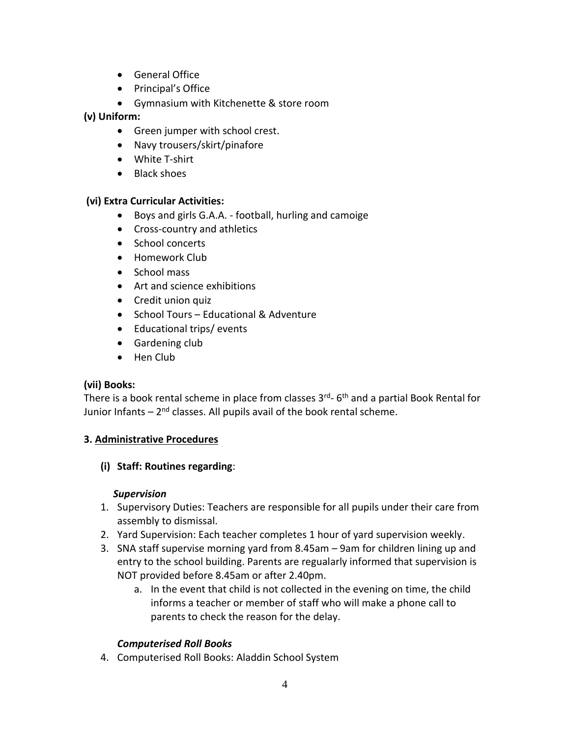- General Office
- Principal's Office
- Gymnasium with Kitchenette & store room

# **(v) Uniform:**

- Green jumper with school crest.
- Navy trousers/skirt/pinafore
- White T-shirt
- Black shoes

# **(vi) Extra Curricular Activities:**

- Boys and girls G.A.A. football, hurling and camoige
- Cross-country and athletics
- School concerts
- Homework Club
- School mass
- Art and science exhibitions
- Credit union quiz
- School Tours Educational & Adventure
- Educational trips/events
- Gardening club
- Hen Club

## **(vii) Books:**

There is a book rental scheme in place from classes 3<sup>rd</sup>- 6<sup>th</sup> and a partial Book Rental for Junior Infants – 2<sup>nd</sup> classes. All pupils avail of the book rental scheme.

## **3. Administrative Procedures**

## **(i) Staff: Routines regarding**:

## *Supervision*

- 1. Supervisory Duties: Teachers are responsible for all pupils under their care from assembly to dismissal.
- 2. Yard Supervision: Each teacher completes 1 hour of yard supervision weekly.
- 3. SNA staff supervise morning yard from 8.45am 9am for children lining up and entry to the school building. Parents are regualarly informed that supervision is NOT provided before 8.45am or after 2.40pm.
	- a. In the event that child is not collected in the evening on time, the child informs a teacher or member of staff who will make a phone call to parents to check the reason for the delay.

# *Computerised Roll Books*

4. Computerised Roll Books: Aladdin School System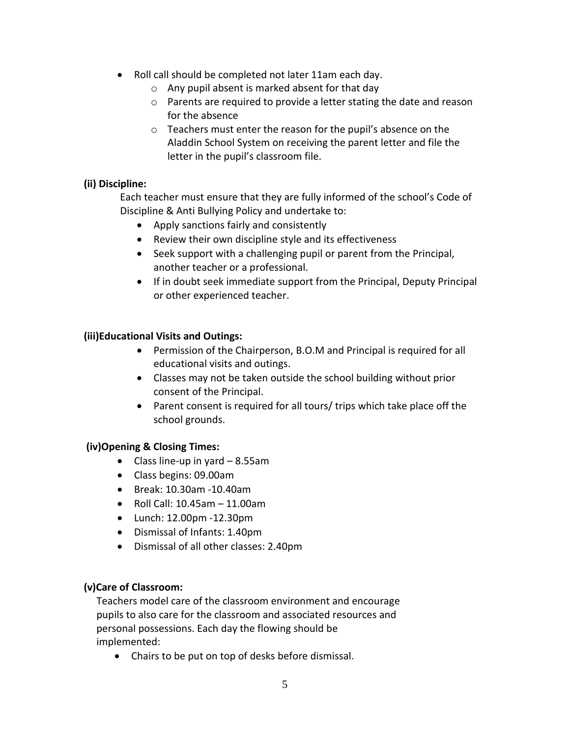- Roll call should be completed not later 11am each day.
	- o Any pupil absent is marked absent for that day
	- o Parents are required to provide a letter stating the date and reason for the absence
	- o Teachers must enter the reason for the pupil's absence on the Aladdin School System on receiving the parent letter and file the letter in the pupil's classroom file.

#### **(ii) Discipline:**

Each teacher must ensure that they are fully informed of the school's Code of Discipline & Anti Bullying Policy and undertake to:

- Apply sanctions fairly and consistently
- Review their own discipline style and its effectiveness
- Seek support with a challenging pupil or parent from the Principal, another teacher or a professional.
- If in doubt seek immediate support from the Principal, Deputy Principal or other experienced teacher.

#### **(iii)Educational Visits and Outings:**

- Permission of the Chairperson, B.O.M and Principal is required for all educational visits and outings.
- Classes may not be taken outside the school building without prior consent of the Principal.
- Parent consent is required for all tours/ trips which take place off the school grounds.

#### **(iv)Opening & Closing Times:**

- Class line-up in yard  $-8.55$ am
- Class begins: 09.00am
- Break: 10.30am -10.40am
- $\bullet$  Roll Call: 10.45am 11.00am
- Lunch: 12.00pm -12.30pm
- Dismissal of Infants: 1.40pm
- Dismissal of all other classes: 2.40pm

#### **(v)Care of Classroom:**

Teachers model care of the classroom environment and encourage pupils to also care for the classroom and associated resources and personal possessions. Each day the flowing should be implemented:

Chairs to be put on top of desks before dismissal.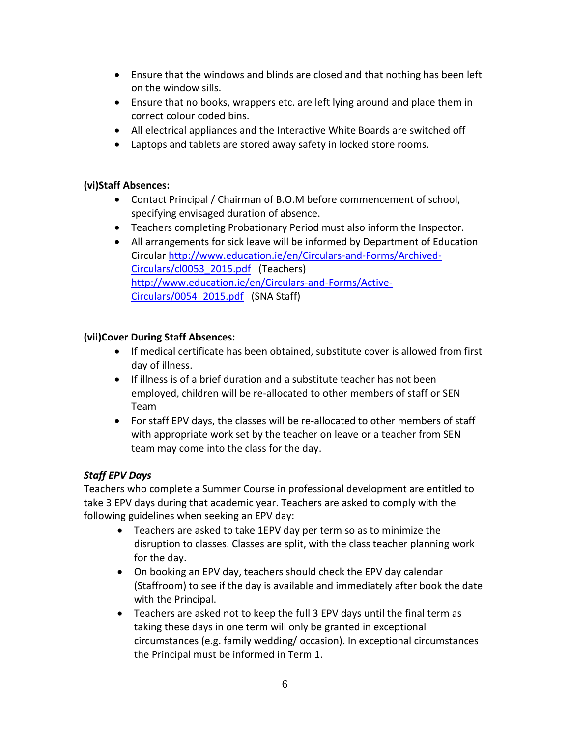- Ensure that the windows and blinds are closed and that nothing has been left on the window sills.
- Ensure that no books, wrappers etc. are left lying around and place them in correct colour coded bins.
- All electrical appliances and the Interactive White Boards are switched off
- Laptops and tablets are stored away safety in locked store rooms.

#### **(vi)Staff Absences:**

- Contact Principal / Chairman of B.O.M before commencement of school, specifying envisaged duration of absence.
- Teachers completing Probationary Period must also inform the Inspector.
- All arrangements for sick leave will be informed by Department of Education Circular [http://www.education.ie/en/Circulars-and-Forms/Archived-](http://www.education.ie/en/Circulars-and-Forms/Archived-Circulars/cl0053_2015.pdf)[Circulars/cl0053\\_2015.pdf](http://www.education.ie/en/Circulars-and-Forms/Archived-Circulars/cl0053_2015.pdf) (Teachers) [http://www.education.ie/en/Circulars-and-Forms/Active-](http://www.education.ie/en/Circulars-and-Forms/Active-Circulars/0054_2015.pdf)[Circulars/0054\\_2015.pdf](http://www.education.ie/en/Circulars-and-Forms/Active-Circulars/0054_2015.pdf) (SNA Staff)

## **(vii)Cover During Staff Absences:**

- If medical certificate has been obtained, substitute cover is allowed from first day of illness.
- If illness is of a brief duration and a substitute teacher has not been employed, children will be re-allocated to other members of staff or SEN Team
- For staff EPV days, the classes will be re-allocated to other members of staff with appropriate work set by the teacher on leave or a teacher from SEN team may come into the class for the day.

## *Staff EPV Days*

Teachers who complete a Summer Course in professional development are entitled to take 3 EPV days during that academic year. Teachers are asked to comply with the following guidelines when seeking an EPV day:

- Teachers are asked to take 1EPV day per term so as to minimize the disruption to classes. Classes are split, with the class teacher planning work for the day.
- On booking an EPV day, teachers should check the EPV day calendar (Staffroom) to see if the day is available and immediately after book the date with the Principal.
- Teachers are asked not to keep the full 3 EPV days until the final term as taking these days in one term will only be granted in exceptional circumstances (e.g. family wedding/ occasion). In exceptional circumstances the Principal must be informed in Term 1.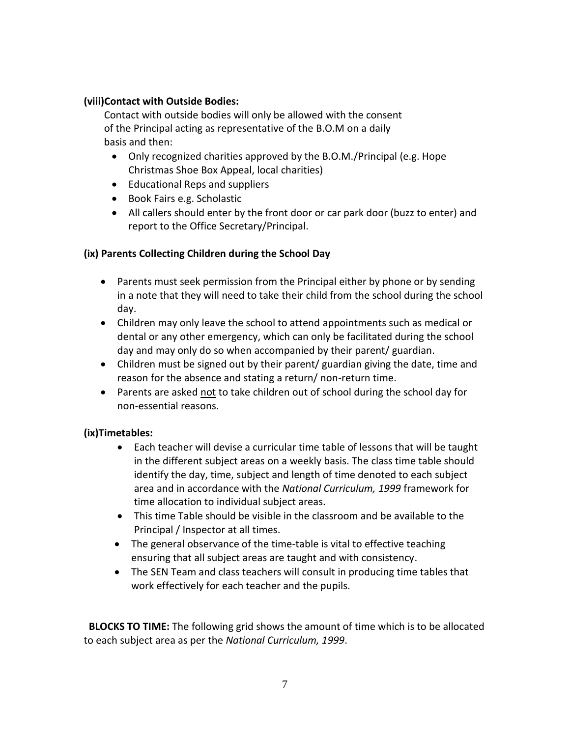#### **(viii)Contact with Outside Bodies:**

Contact with outside bodies will only be allowed with the consent of the Principal acting as representative of the B.O.M on a daily basis and then:

- Only recognized charities approved by the B.O.M./Principal (e.g. Hope Christmas Shoe Box Appeal, local charities)
- Educational Reps and suppliers
- Book Fairs e.g. Scholastic
- All callers should enter by the front door or car park door (buzz to enter) and report to the Office Secretary/Principal.

## **(ix) Parents Collecting Children during the School Day**

- Parents must seek permission from the Principal either by phone or by sending in a note that they will need to take their child from the school during the school day.
- Children may only leave the school to attend appointments such as medical or dental or any other emergency, which can only be facilitated during the school day and may only do so when accompanied by their parent/ guardian.
- Children must be signed out by their parent/ guardian giving the date, time and reason for the absence and stating a return/ non-return time.
- Parents are asked not to take children out of school during the school day for non-essential reasons.

## **(ix)Timetables:**

- Each teacher will devise a curricular time table of lessons that will be taught in the different subject areas on a weekly basis. The class time table should identify the day, time, subject and length of time denoted to each subject area and in accordance with the *National Curriculum, 1999* framework for time allocation to individual subject areas.
- This time Table should be visible in the classroom and be available to the Principal / Inspector at all times.
- The general observance of the time-table is vital to effective teaching ensuring that all subject areas are taught and with consistency.
- The SEN Team and class teachers will consult in producing time tables that work effectively for each teacher and the pupils.

 **BLOCKS TO TIME:** The following grid shows the amount of time which is to be allocated to each subject area as per the *National Curriculum, 1999*.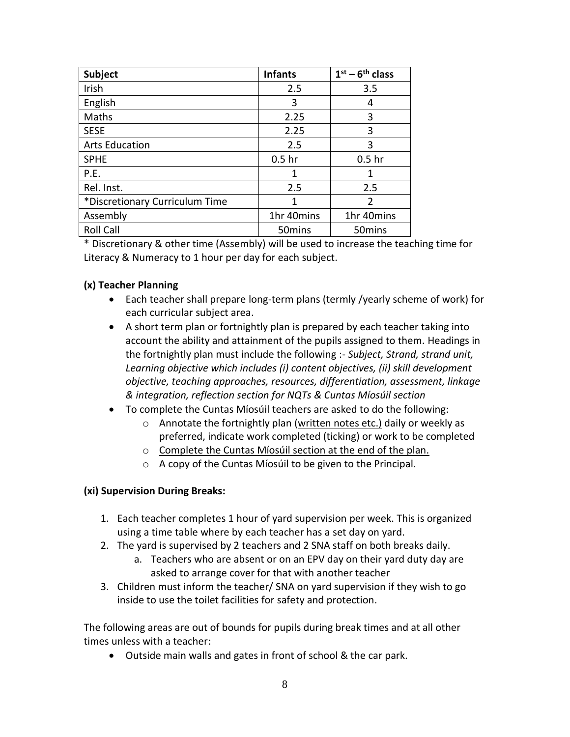| <b>Subject</b>                 | <b>Infants</b>     | $1st - 6th$ class  |
|--------------------------------|--------------------|--------------------|
| Irish                          | 2.5                | 3.5                |
| English                        | 3                  | 4                  |
| Maths                          | 2.25               | 3                  |
| <b>SESE</b>                    | 2.25               | 3                  |
| <b>Arts Education</b>          | 2.5                | 3                  |
| <b>SPHE</b>                    | 0.5 <sub>hr</sub>  | 0.5 <sub>hr</sub>  |
| P.E.                           | 1                  | 1                  |
| Rel. Inst.                     | 2.5                | 2.5                |
| *Discretionary Curriculum Time | 1                  | $\overline{2}$     |
| Assembly                       | 1hr 40mins         | 1hr 40mins         |
| <b>Roll Call</b>               | 50 <sub>mins</sub> | 50 <sub>mins</sub> |

\* Discretionary & other time (Assembly) will be used to increase the teaching time for Literacy & Numeracy to 1 hour per day for each subject.

#### **(x) Teacher Planning**

- Each teacher shall prepare long-term plans (termly /yearly scheme of work) for each curricular subject area.
- A short term plan or fortnightly plan is prepared by each teacher taking into account the ability and attainment of the pupils assigned to them. Headings in the fortnightly plan must include the following :- *Subject, Strand, strand unit, Learning objective which includes (i) content objectives, (ii) skill development objective, teaching approaches, resources, differentiation, assessment, linkage & integration, reflection section for NQTs & Cuntas Míosúil section*
- To complete the Cuntas Míosúil teachers are asked to do the following:
	- $\circ$  Annotate the fortnightly plan (written notes etc.) daily or weekly as preferred, indicate work completed (ticking) or work to be completed
	- o Complete the Cuntas Míosúil section at the end of the plan.
	- o A copy of the Cuntas Míosúil to be given to the Principal.

#### **(xi) Supervision During Breaks:**

- 1. Each teacher completes 1 hour of yard supervision per week. This is organized using a time table where by each teacher has a set day on yard.
- 2. The yard is supervised by 2 teachers and 2 SNA staff on both breaks daily.
	- a. Teachers who are absent or on an EPV day on their yard duty day are asked to arrange cover for that with another teacher
- 3. Children must inform the teacher/ SNA on yard supervision if they wish to go inside to use the toilet facilities for safety and protection.

The following areas are out of bounds for pupils during break times and at all other times unless with a teacher:

Outside main walls and gates in front of school & the car park.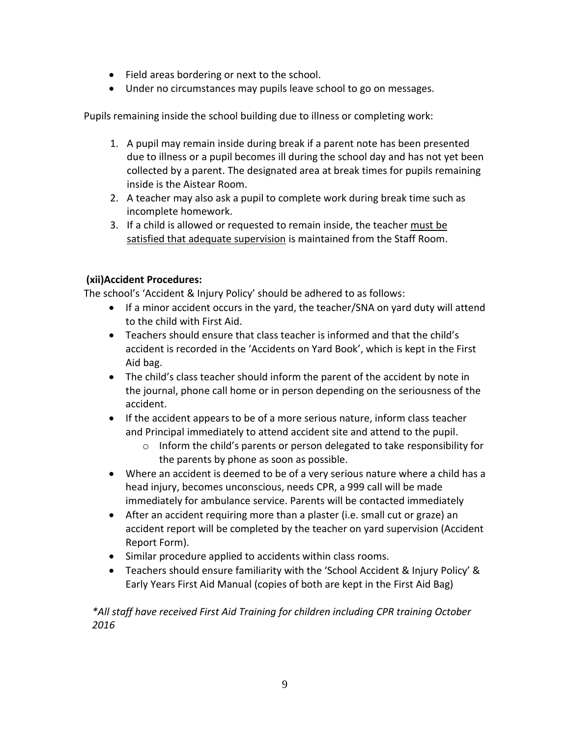- Field areas bordering or next to the school.
- Under no circumstances may pupils leave school to go on messages.

Pupils remaining inside the school building due to illness or completing work:

- 1. A pupil may remain inside during break if a parent note has been presented due to illness or a pupil becomes ill during the school day and has not yet been collected by a parent. The designated area at break times for pupils remaining inside is the Aistear Room.
- 2. A teacher may also ask a pupil to complete work during break time such as incomplete homework.
- 3. If a child is allowed or requested to remain inside, the teacher must be satisfied that adequate supervision is maintained from the Staff Room.

## **(xii)Accident Procedures:**

The school's 'Accident & Injury Policy' should be adhered to as follows:

- If a minor accident occurs in the yard, the teacher/SNA on yard duty will attend to the child with First Aid.
- Teachers should ensure that class teacher is informed and that the child's accident is recorded in the 'Accidents on Yard Book', which is kept in the First Aid bag.
- The child's class teacher should inform the parent of the accident by note in the journal, phone call home or in person depending on the seriousness of the accident.
- If the accident appears to be of a more serious nature, inform class teacher and Principal immediately to attend accident site and attend to the pupil.
	- o Inform the child's parents or person delegated to take responsibility for the parents by phone as soon as possible.
- Where an accident is deemed to be of a very serious nature where a child has a head injury, becomes unconscious, needs CPR, a 999 call will be made immediately for ambulance service. Parents will be contacted immediately
- After an accident requiring more than a plaster (i.e. small cut or graze) an accident report will be completed by the teacher on yard supervision (Accident Report Form).
- Similar procedure applied to accidents within class rooms.
- Teachers should ensure familiarity with the 'School Accident & Injury Policy' & Early Years First Aid Manual (copies of both are kept in the First Aid Bag)

*\*All staff have received First Aid Training for children including CPR training October 2016*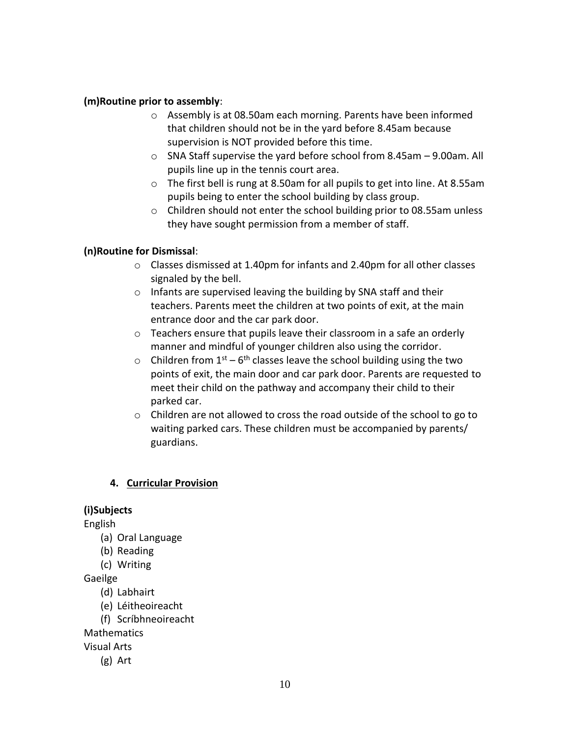#### **(m)Routine prior to assembly**:

- o Assembly is at 08.50am each morning. Parents have been informed that children should not be in the yard before 8.45am because supervision is NOT provided before this time.
- o SNA Staff supervise the yard before school from 8.45am 9.00am. All pupils line up in the tennis court area.
- o The first bell is rung at 8.50am for all pupils to get into line. At 8.55am pupils being to enter the school building by class group.
- o Children should not enter the school building prior to 08.55am unless they have sought permission from a member of staff.

#### **(n)Routine for Dismissal**:

- o Classes dismissed at 1.40pm for infants and 2.40pm for all other classes signaled by the bell.
- o Infants are supervised leaving the building by SNA staff and their teachers. Parents meet the children at two points of exit, at the main entrance door and the car park door.
- o Teachers ensure that pupils leave their classroom in a safe an orderly manner and mindful of younger children also using the corridor.
- $\circ$  Children from 1<sup>st</sup> 6<sup>th</sup> classes leave the school building using the two points of exit, the main door and car park door. Parents are requested to meet their child on the pathway and accompany their child to their parked car.
- o Children are not allowed to cross the road outside of the school to go to waiting parked cars. These children must be accompanied by parents/ guardians.

## **4. Curricular Provision**

## **(i)Subjects**

English

- (a) Oral Language
- (b) Reading
- (c) Writing

Gaeilge

- (d) Labhairt
- (e) Léitheoireacht
- (f) Scríbhneoireacht

**Mathematics** 

Visual Arts

(g) Art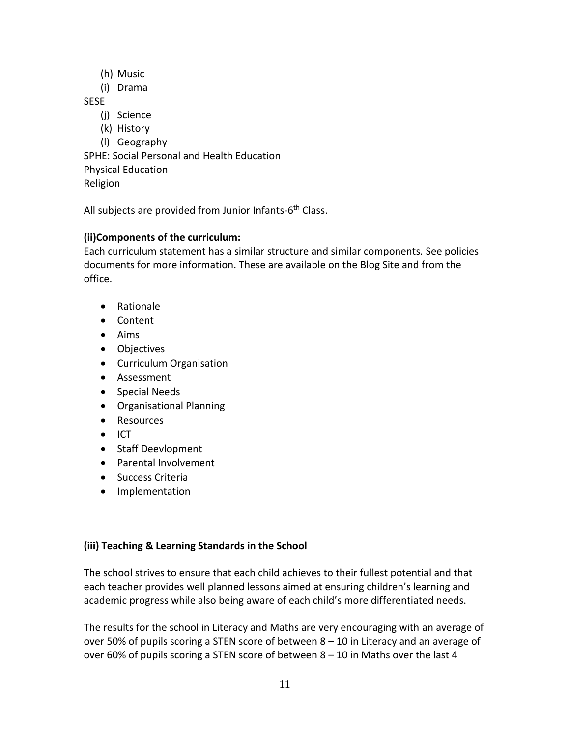- (h) Music
- (i) Drama

SESE

- (j) Science
- (k) History

(l) Geography SPHE: Social Personal and Health Education Physical Education Religion

All subjects are provided from Junior Infants-6<sup>th</sup> Class.

# **(ii)Components of the curriculum:**

Each curriculum statement has a similar structure and similar components. See policies documents for more information. These are available on the Blog Site and from the office.

- Rationale
- Content
- Aims
- Objectives
- **•** Curriculum Organisation
- Assessment
- Special Needs
- Organisational Planning
- Resources
- $\bullet$  ICT
- Staff Deevlopment
- Parental Involvement
- **•** Success Criteria
- Implementation

# **(iii) Teaching & Learning Standards in the School**

The school strives to ensure that each child achieves to their fullest potential and that each teacher provides well planned lessons aimed at ensuring children's learning and academic progress while also being aware of each child's more differentiated needs.

The results for the school in Literacy and Maths are very encouraging with an average of over 50% of pupils scoring a STEN score of between  $8 - 10$  in Literacy and an average of over 60% of pupils scoring a STEN score of between 8 – 10 in Maths over the last 4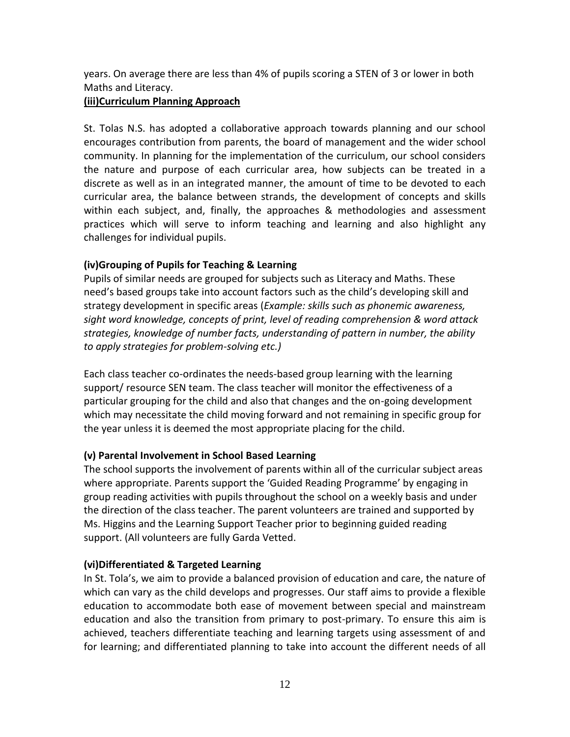years. On average there are less than 4% of pupils scoring a STEN of 3 or lower in both Maths and Literacy.

#### **(iii)Curriculum Planning Approach**

St. Tolas N.S. has adopted a collaborative approach towards planning and our school encourages contribution from parents, the board of management and the wider school community. In planning for the implementation of the curriculum, our school considers the nature and purpose of each curricular area, how subjects can be treated in a discrete as well as in an integrated manner, the amount of time to be devoted to each curricular area, the balance between strands, the development of concepts and skills within each subject, and, finally, the approaches & methodologies and assessment practices which will serve to inform teaching and learning and also highlight any challenges for individual pupils.

## **(iv)Grouping of Pupils for Teaching & Learning**

Pupils of similar needs are grouped for subjects such as Literacy and Maths. These need's based groups take into account factors such as the child's developing skill and strategy development in specific areas (*Example: skills such as phonemic awareness, sight word knowledge, concepts of print, level of reading comprehension & word attack strategies, knowledge of number facts, understanding of pattern in number, the ability to apply strategies for problem-solving etc.)*

Each class teacher co-ordinates the needs-based group learning with the learning support/ resource SEN team. The class teacher will monitor the effectiveness of a particular grouping for the child and also that changes and the on-going development which may necessitate the child moving forward and not remaining in specific group for the year unless it is deemed the most appropriate placing for the child.

# **(v) Parental Involvement in School Based Learning**

The school supports the involvement of parents within all of the curricular subject areas where appropriate. Parents support the 'Guided Reading Programme' by engaging in group reading activities with pupils throughout the school on a weekly basis and under the direction of the class teacher. The parent volunteers are trained and supported by Ms. Higgins and the Learning Support Teacher prior to beginning guided reading support. (All volunteers are fully Garda Vetted.

## **(vi)Differentiated & Targeted Learning**

In St. Tola's, we aim to provide a balanced provision of education and care, the nature of which can vary as the child develops and progresses. Our staff aims to provide a flexible education to accommodate both ease of movement between special and mainstream education and also the transition from primary to post-primary. To ensure this aim is achieved, teachers differentiate teaching and learning targets using assessment of and for learning; and differentiated planning to take into account the different needs of all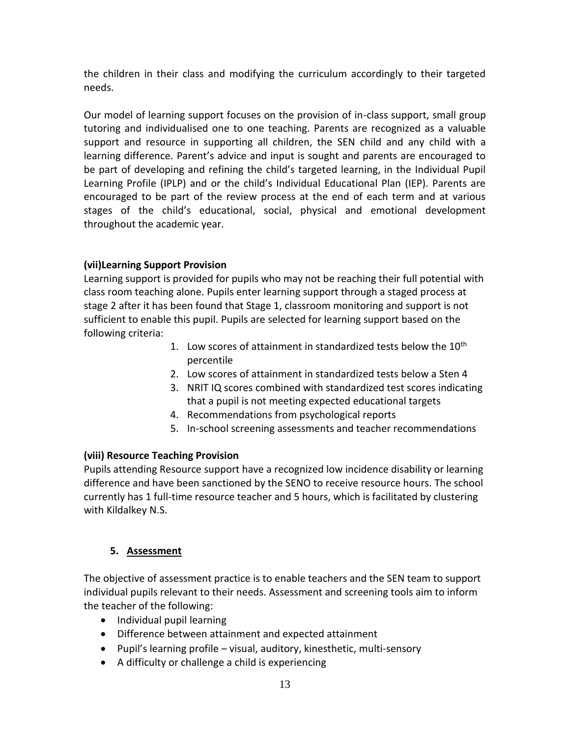the children in their class and modifying the curriculum accordingly to their targeted needs.

Our model of learning support focuses on the provision of in-class support, small group tutoring and individualised one to one teaching. Parents are recognized as a valuable support and resource in supporting all children, the SEN child and any child with a learning difference. Parent's advice and input is sought and parents are encouraged to be part of developing and refining the child's targeted learning, in the Individual Pupil Learning Profile (IPLP) and or the child's Individual Educational Plan (IEP). Parents are encouraged to be part of the review process at the end of each term and at various stages of the child's educational, social, physical and emotional development throughout the academic year.

# **(vii)Learning Support Provision**

Learning support is provided for pupils who may not be reaching their full potential with class room teaching alone. Pupils enter learning support through a staged process at stage 2 after it has been found that Stage 1, classroom monitoring and support is not sufficient to enable this pupil. Pupils are selected for learning support based on the following criteria:

- 1. Low scores of attainment in standardized tests below the  $10<sup>th</sup>$ percentile
- 2. Low scores of attainment in standardized tests below a Sten 4
- 3. NRIT IQ scores combined with standardized test scores indicating that a pupil is not meeting expected educational targets
- 4. Recommendations from psychological reports
- 5. In-school screening assessments and teacher recommendations

## **(viii) Resource Teaching Provision**

Pupils attending Resource support have a recognized low incidence disability or learning difference and have been sanctioned by the SENO to receive resource hours. The school currently has 1 full-time resource teacher and 5 hours, which is facilitated by clustering with Kildalkey N.S.

## **5. Assessment**

The objective of assessment practice is to enable teachers and the SEN team to support individual pupils relevant to their needs. Assessment and screening tools aim to inform the teacher of the following:

- Individual pupil learning
- Difference between attainment and expected attainment
- Pupil's learning profile visual, auditory, kinesthetic, multi-sensory
- A difficulty or challenge a child is experiencing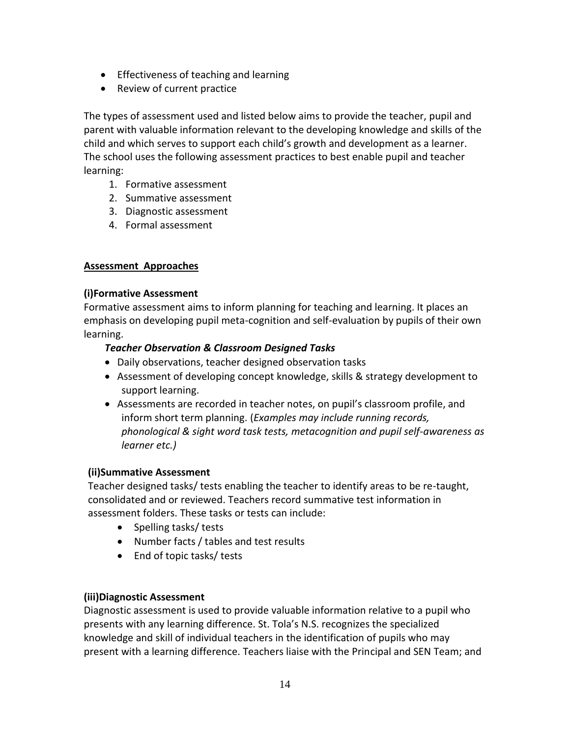- Effectiveness of teaching and learning
- Review of current practice

The types of assessment used and listed below aims to provide the teacher, pupil and parent with valuable information relevant to the developing knowledge and skills of the child and which serves to support each child's growth and development as a learner. The school uses the following assessment practices to best enable pupil and teacher learning:

- 1. Formative assessment
- 2. Summative assessment
- 3. Diagnostic assessment
- 4. Formal assessment

## **Assessment Approaches**

#### **(i)Formative Assessment**

Formative assessment aims to inform planning for teaching and learning. It places an emphasis on developing pupil meta-cognition and self-evaluation by pupils of their own learning.

## *Teacher Observation & Classroom Designed Tasks*

- Daily observations, teacher designed observation tasks
- Assessment of developing concept knowledge, skills & strategy development to support learning.
- Assessments are recorded in teacher notes, on pupil's classroom profile, and inform short term planning. (*Examples may include running records, phonological & sight word task tests, metacognition and pupil self-awareness as learner etc.)*

## **(ii)Summative Assessment**

Teacher designed tasks/ tests enabling the teacher to identify areas to be re-taught, consolidated and or reviewed. Teachers record summative test information in assessment folders. These tasks or tests can include:

- Spelling tasks/ tests
- Number facts / tables and test results
- End of topic tasks/ tests

## **(iii)Diagnostic Assessment**

Diagnostic assessment is used to provide valuable information relative to a pupil who presents with any learning difference. St. Tola's N.S. recognizes the specialized knowledge and skill of individual teachers in the identification of pupils who may present with a learning difference. Teachers liaise with the Principal and SEN Team; and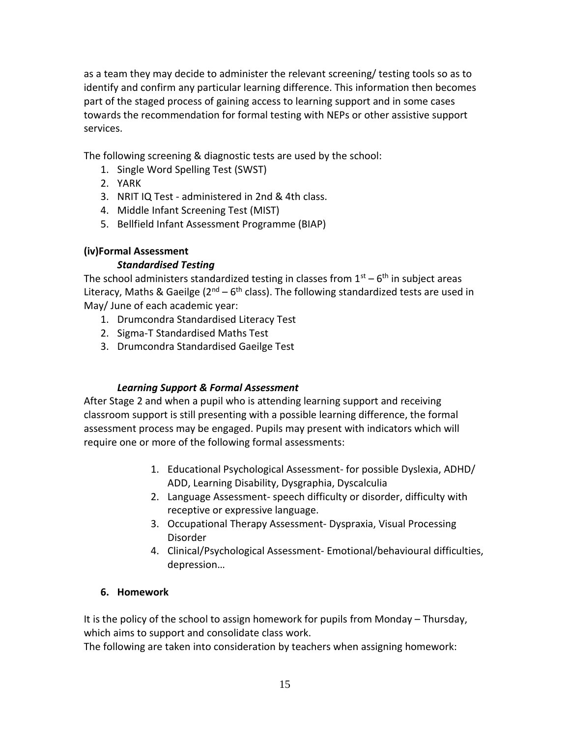as a team they may decide to administer the relevant screening/ testing tools so as to identify and confirm any particular learning difference. This information then becomes part of the staged process of gaining access to learning support and in some cases towards the recommendation for formal testing with NEPs or other assistive support services.

The following screening & diagnostic tests are used by the school:

- 1. Single Word Spelling Test (SWST)
- 2. YARK
- 3. NRIT IQ Test administered in 2nd & 4th class.
- 4. Middle Infant Screening Test (MIST)
- 5. Bellfield Infant Assessment Programme (BIAP)

#### **(iv)Formal Assessment**

#### *Standardised Testing*

The school administers standardized testing in classes from  $1<sup>st</sup> - 6<sup>th</sup>$  in subject areas Literacy, Maths & Gaeilge ( $2^{nd}$  – 6<sup>th</sup> class). The following standardized tests are used in May/ June of each academic year:

- 1. Drumcondra Standardised Literacy Test
- 2. Sigma-T Standardised Maths Test
- 3. Drumcondra Standardised Gaeilge Test

#### *Learning Support & Formal Assessment*

After Stage 2 and when a pupil who is attending learning support and receiving classroom support is still presenting with a possible learning difference, the formal assessment process may be engaged. Pupils may present with indicators which will require one or more of the following formal assessments:

- 1. Educational Psychological Assessment- for possible Dyslexia, ADHD/ ADD, Learning Disability, Dysgraphia, Dyscalculia
- 2. Language Assessment- speech difficulty or disorder, difficulty with receptive or expressive language.
- 3. Occupational Therapy Assessment- Dyspraxia, Visual Processing Disorder
- 4. Clinical/Psychological Assessment- Emotional/behavioural difficulties, depression…

#### **6. Homework**

It is the policy of the school to assign homework for pupils from Monday – Thursday, which aims to support and consolidate class work.

The following are taken into consideration by teachers when assigning homework: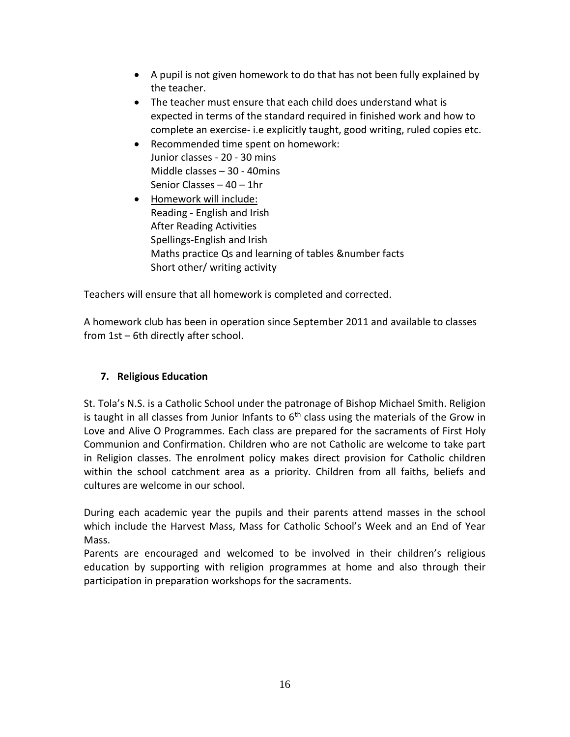- A pupil is not given homework to do that has not been fully explained by the teacher.
- The teacher must ensure that each child does understand what is expected in terms of the standard required in finished work and how to complete an exercise- i.e explicitly taught, good writing, ruled copies etc.
- Recommended time spent on homework: Junior classes - 20 - 30 mins Middle classes – 30 - 40mins Senior Classes – 40 – 1hr
- Homework will include: Reading - English and Irish After Reading Activities Spellings-English and Irish Maths practice Qs and learning of tables &number facts Short other/ writing activity

Teachers will ensure that all homework is completed and corrected.

A homework club has been in operation since September 2011 and available to classes from 1st – 6th directly after school.

# **7. Religious Education**

St. Tola's N.S. is a Catholic School under the patronage of Bishop Michael Smith. Religion is taught in all classes from Junior Infants to  $6<sup>th</sup>$  class using the materials of the Grow in Love and Alive O Programmes. Each class are prepared for the sacraments of First Holy Communion and Confirmation. Children who are not Catholic are welcome to take part in Religion classes. The enrolment policy makes direct provision for Catholic children within the school catchment area as a priority. Children from all faiths, beliefs and cultures are welcome in our school.

During each academic year the pupils and their parents attend masses in the school which include the Harvest Mass, Mass for Catholic School's Week and an End of Year Mass.

Parents are encouraged and welcomed to be involved in their children's religious education by supporting with religion programmes at home and also through their participation in preparation workshops for the sacraments.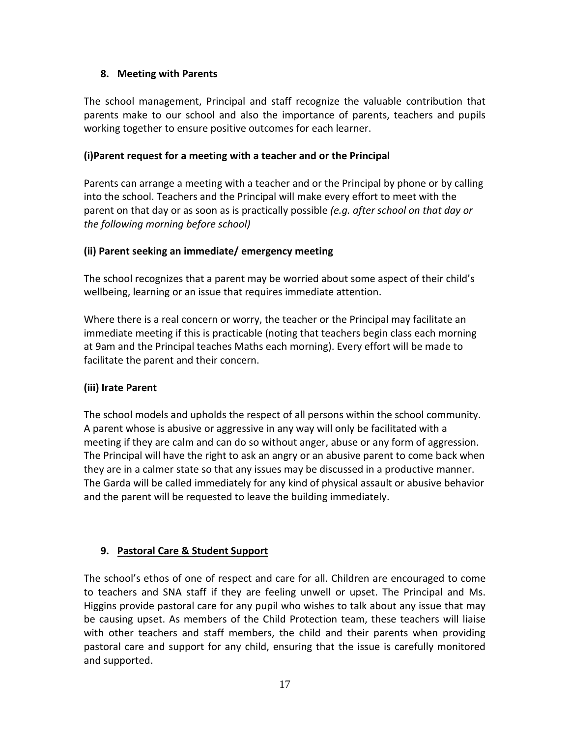## **8. Meeting with Parents**

The school management, Principal and staff recognize the valuable contribution that parents make to our school and also the importance of parents, teachers and pupils working together to ensure positive outcomes for each learner.

#### **(i)Parent request for a meeting with a teacher and or the Principal**

Parents can arrange a meeting with a teacher and or the Principal by phone or by calling into the school. Teachers and the Principal will make every effort to meet with the parent on that day or as soon as is practically possible *(e.g. after school on that day or the following morning before school)*

#### **(ii) Parent seeking an immediate/ emergency meeting**

The school recognizes that a parent may be worried about some aspect of their child's wellbeing, learning or an issue that requires immediate attention.

Where there is a real concern or worry, the teacher or the Principal may facilitate an immediate meeting if this is practicable (noting that teachers begin class each morning at 9am and the Principal teaches Maths each morning). Every effort will be made to facilitate the parent and their concern.

## **(iii) Irate Parent**

The school models and upholds the respect of all persons within the school community. A parent whose is abusive or aggressive in any way will only be facilitated with a meeting if they are calm and can do so without anger, abuse or any form of aggression. The Principal will have the right to ask an angry or an abusive parent to come back when they are in a calmer state so that any issues may be discussed in a productive manner. The Garda will be called immediately for any kind of physical assault or abusive behavior and the parent will be requested to leave the building immediately.

## **9. Pastoral Care & Student Support**

The school's ethos of one of respect and care for all. Children are encouraged to come to teachers and SNA staff if they are feeling unwell or upset. The Principal and Ms. Higgins provide pastoral care for any pupil who wishes to talk about any issue that may be causing upset. As members of the Child Protection team, these teachers will liaise with other teachers and staff members, the child and their parents when providing pastoral care and support for any child, ensuring that the issue is carefully monitored and supported.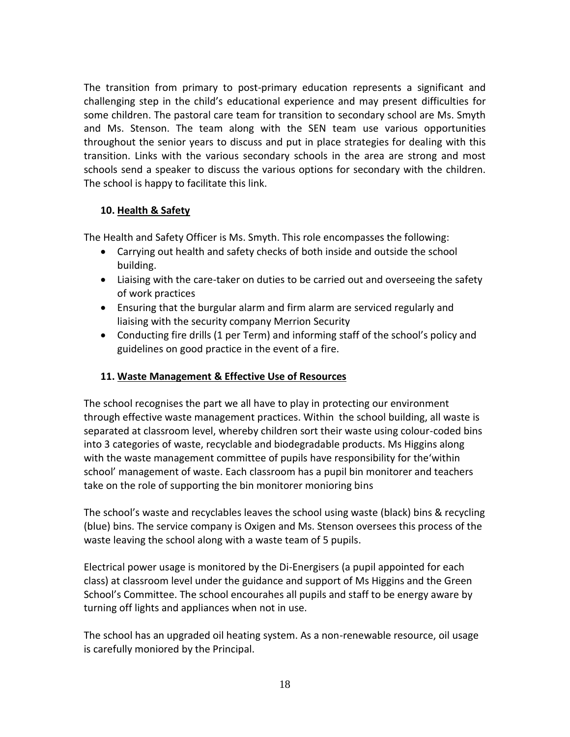The transition from primary to post-primary education represents a significant and challenging step in the child's educational experience and may present difficulties for some children. The pastoral care team for transition to secondary school are Ms. Smyth and Ms. Stenson. The team along with the SEN team use various opportunities throughout the senior years to discuss and put in place strategies for dealing with this transition. Links with the various secondary schools in the area are strong and most schools send a speaker to discuss the various options for secondary with the children. The school is happy to facilitate this link.

## **10. Health & Safety**

The Health and Safety Officer is Ms. Smyth. This role encompasses the following:

- Carrying out health and safety checks of both inside and outside the school building.
- Liaising with the care-taker on duties to be carried out and overseeing the safety of work practices
- Ensuring that the burgular alarm and firm alarm are serviced regularly and liaising with the security company Merrion Security
- Conducting fire drills (1 per Term) and informing staff of the school's policy and guidelines on good practice in the event of a fire.

# **11. Waste Management & Effective Use of Resources**

The school recognises the part we all have to play in protecting our environment through effective waste management practices. Within the school building, all waste is separated at classroom level, whereby children sort their waste using colour-coded bins into 3 categories of waste, recyclable and biodegradable products. Ms Higgins along with the waste management committee of pupils have responsibility for the'within school' management of waste. Each classroom has a pupil bin monitorer and teachers take on the role of supporting the bin monitorer monioring bins

The school's waste and recyclables leaves the school using waste (black) bins & recycling (blue) bins. The service company is Oxigen and Ms. Stenson oversees this process of the waste leaving the school along with a waste team of 5 pupils.

Electrical power usage is monitored by the Di-Energisers (a pupil appointed for each class) at classroom level under the guidance and support of Ms Higgins and the Green School's Committee. The school encourahes all pupils and staff to be energy aware by turning off lights and appliances when not in use.

The school has an upgraded oil heating system. As a non-renewable resource, oil usage is carefully moniored by the Principal.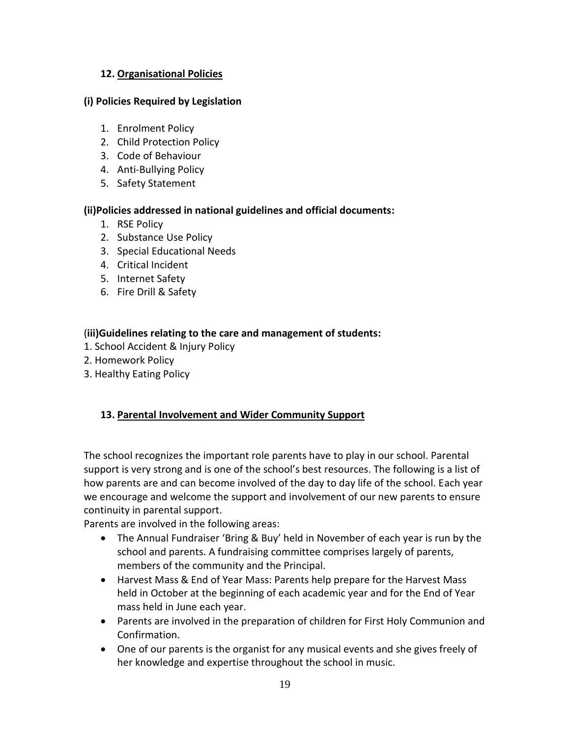## **12. Organisational Policies**

#### **(i) Policies Required by Legislation**

- 1. Enrolment Policy
- 2. Child Protection Policy
- 3. Code of Behaviour
- 4. Anti-Bullying Policy
- 5. Safety Statement

#### **(ii)Policies addressed in national guidelines and official documents:**

- 1. RSE Policy
- 2. Substance Use Policy
- 3. Special Educational Needs
- 4. Critical Incident
- 5. Internet Safety
- 6. Fire Drill & Safety

#### (**iii)Guidelines relating to the care and management of students:**

- 1. School Accident & Injury Policy
- 2. Homework Policy
- 3. Healthy Eating Policy

#### **13. Parental Involvement and Wider Community Support**

The school recognizes the important role parents have to play in our school. Parental support is very strong and is one of the school's best resources. The following is a list of how parents are and can become involved of the day to day life of the school. Each year we encourage and welcome the support and involvement of our new parents to ensure continuity in parental support.

Parents are involved in the following areas:

- The Annual Fundraiser 'Bring & Buy' held in November of each year is run by the school and parents. A fundraising committee comprises largely of parents, members of the community and the Principal.
- Harvest Mass & End of Year Mass: Parents help prepare for the Harvest Mass held in October at the beginning of each academic year and for the End of Year mass held in June each year.
- Parents are involved in the preparation of children for First Holy Communion and Confirmation.
- One of our parents is the organist for any musical events and she gives freely of her knowledge and expertise throughout the school in music.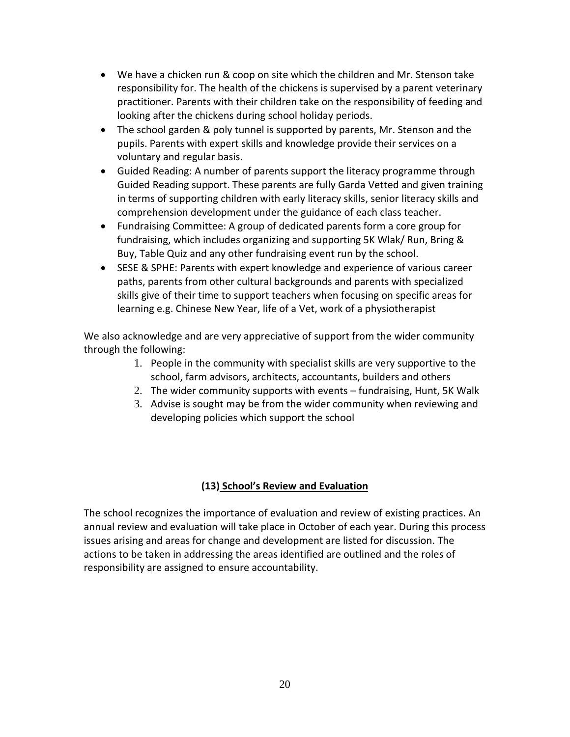- We have a chicken run & coop on site which the children and Mr. Stenson take responsibility for. The health of the chickens is supervised by a parent veterinary practitioner. Parents with their children take on the responsibility of feeding and looking after the chickens during school holiday periods.
- The school garden & poly tunnel is supported by parents, Mr. Stenson and the pupils. Parents with expert skills and knowledge provide their services on a voluntary and regular basis.
- Guided Reading: A number of parents support the literacy programme through Guided Reading support. These parents are fully Garda Vetted and given training in terms of supporting children with early literacy skills, senior literacy skills and comprehension development under the guidance of each class teacher.
- Fundraising Committee: A group of dedicated parents form a core group for fundraising, which includes organizing and supporting 5K Wlak/ Run, Bring & Buy, Table Quiz and any other fundraising event run by the school.
- SESE & SPHE: Parents with expert knowledge and experience of various career paths, parents from other cultural backgrounds and parents with specialized skills give of their time to support teachers when focusing on specific areas for learning e.g. Chinese New Year, life of a Vet, work of a physiotherapist

We also acknowledge and are very appreciative of support from the wider community through the following:

- 1. People in the community with specialist skills are very supportive to the school, farm advisors, architects, accountants, builders and others
- 2. The wider community supports with events fundraising, Hunt, 5K Walk
- 3. Advise is sought may be from the wider community when reviewing and developing policies which support the school

# **(13) School's Review and Evaluation**

The school recognizes the importance of evaluation and review of existing practices. An annual review and evaluation will take place in October of each year. During this process issues arising and areas for change and development are listed for discussion. The actions to be taken in addressing the areas identified are outlined and the roles of responsibility are assigned to ensure accountability.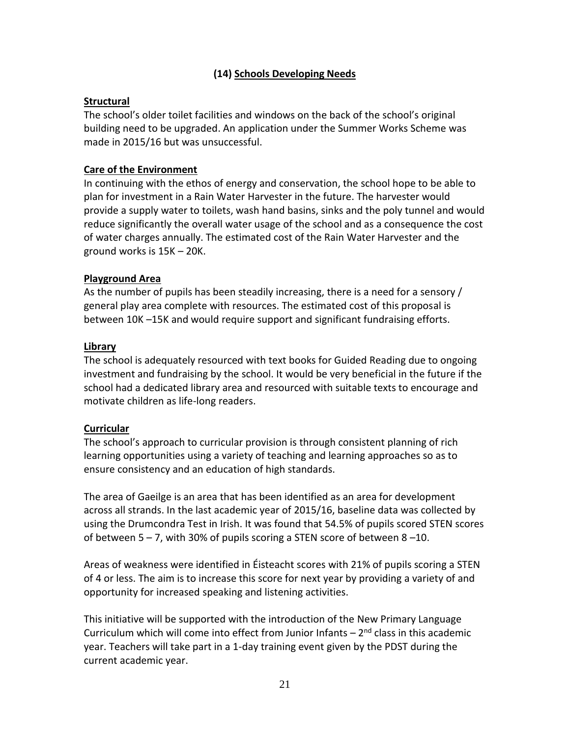# **(14) Schools Developing Needs**

#### **Structural**

The school's older toilet facilities and windows on the back of the school's original building need to be upgraded. An application under the Summer Works Scheme was made in 2015/16 but was unsuccessful.

#### **Care of the Environment**

In continuing with the ethos of energy and conservation, the school hope to be able to plan for investment in a Rain Water Harvester in the future. The harvester would provide a supply water to toilets, wash hand basins, sinks and the poly tunnel and would reduce significantly the overall water usage of the school and as a consequence the cost of water charges annually. The estimated cost of the Rain Water Harvester and the ground works is 15K – 20K.

#### **Playground Area**

As the number of pupils has been steadily increasing, there is a need for a sensory / general play area complete with resources. The estimated cost of this proposal is between 10K –15K and would require support and significant fundraising efforts.

#### **Library**

The school is adequately resourced with text books for Guided Reading due to ongoing investment and fundraising by the school. It would be very beneficial in the future if the school had a dedicated library area and resourced with suitable texts to encourage and motivate children as life-long readers.

#### **Curricular**

The school's approach to curricular provision is through consistent planning of rich learning opportunities using a variety of teaching and learning approaches so as to ensure consistency and an education of high standards.

The area of Gaeilge is an area that has been identified as an area for development across all strands. In the last academic year of 2015/16, baseline data was collected by using the Drumcondra Test in Irish. It was found that 54.5% of pupils scored STEN scores of between 5 – 7, with 30% of pupils scoring a STEN score of between 8 –10.

Areas of weakness were identified in Éisteacht scores with 21% of pupils scoring a STEN of 4 or less. The aim is to increase this score for next year by providing a variety of and opportunity for increased speaking and listening activities.

This initiative will be supported with the introduction of the New Primary Language Curriculum which will come into effect from Junior Infants  $-2<sup>nd</sup>$  class in this academic year. Teachers will take part in a 1-day training event given by the PDST during the current academic year.